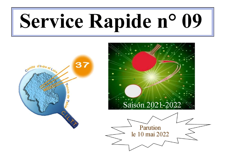# Service Rapide n° 09



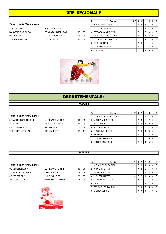# PRE-REGIONALE

## 7ème journée (2ème phase)

TT PARCAY-MESLAY 2 - C.P. VEIGNE 1 10 04

TT CHINONAIS 1 - A.S. FONDETTES 5 06 08 LANGEAIS-CINQ MARS 1 - TT MONTS ARTANNES 2 07 07 US LA RICHE TT 1 - TT ST GENOUPH 4 06 08

| Rg | Equipe                  | PТ |   | v | N | D | Р        | F |
|----|-------------------------|----|---|---|---|---|----------|---|
| 1  | <b>A.S. FONDETTES 5</b> | 18 | 7 | 5 |   |   | $\Omega$ | 0 |
| 2  | <b>ITT ST GENOUPH 4</b> | 16 | 7 | 4 |   | 2 | 0        | 0 |
| 3  | TT PARCAY-MESLAY 2      | 15 | 7 | 4 | O | 3 | O        | 0 |
| 4  | LANGEAIS-CINQ MARS 1    | 14 | 7 | 3 |   | 3 | O        | O |
| 5  | TT MONTS ARTANNES 2     | 14 | 7 | 3 | 2 |   | O        |   |
| 6  | TT CHINONAIS 1          | 13 | 7 | 3 | O | 4 | O        | O |
| 7  | <b>US LA RICHE TT 1</b> | 13 | 7 | 2 | 2 | 3 | O        | O |
| 8  | C.P. VEIGNE 1           | 8  |   | n |   | 6 | n        | ŋ |



# DEPARTEMENTALE 1

# POULE<sub>1</sub>

### 7ème journée (2ème phase)

- ST AVERTIN SPORTS TT 4 US RENAUDINE TT 3 10 04 4S TOURS T.T. 10 - RS ST CYR/LOIRE 2 11 03 ES OESIENNE TT 1 - A.C. AMBOISE 2 05 09 TT PARCAY-MESLAY 3 - STE MAURE TT 1 02 12
- 

|                      | 04 |
|----------------------|----|
| O3<br>$\overline{1}$ |    |

| ٦<br>×<br>×<br>۹ | × |
|------------------|---|
|                  |   |

| ٠ | ٠<br>$\sim$ | I<br>×<br>۰ |
|---|-------------|-------------|
|   |             |             |
|   |             |             |

| Rg | Equipe                     | PT |   | ν              | N        | D | P        | F        |
|----|----------------------------|----|---|----------------|----------|---|----------|----------|
|    | IST AVERTIN SPORTS TT 4    | 18 | 7 | 5              |          |   | 0        | $\Omega$ |
| 2  | <b>US RENAUDINE TT 3</b>   | 17 | 7 | 5              | $\Omega$ | 2 | $\Omega$ | $\Omega$ |
| 3  | <b>STE MAURE TT 1</b>      | 16 | 7 | 4              | 1        | 2 | $\Omega$ | $\Omega$ |
| 4  | A.C. AMBOISE 2             | 14 | 7 | 4              | $\Omega$ | 2 | $\Omega$ |          |
| 5  | <b>IRS ST CYR/LOIRE 2</b>  | 14 | 7 | 3              |          | 3 | 0        | $\Omega$ |
| 6  | <b>I</b> 4S TOURS T.T. 10  | 11 | 7 | $\overline{2}$ | $\Omega$ | 5 | 0        | $\Omega$ |
|    | <b>ITT PARCAY-MESLAY 3</b> | 11 | 7 | $\overline{2}$ | $\Omega$ | 5 | $\Omega$ | $\Omega$ |
| 8  | ES OESIENNE TT 1           | 10 |   | 4              | и        | 5 | $\Omega$ | $\Omega$ |

# POULE 2

| <b>UU INLIVAULIIVE I I 4</b> |
|------------------------------|
| LARCAY T.T. 1                |
| U.S. GENILLE TT 1            |
|                              |





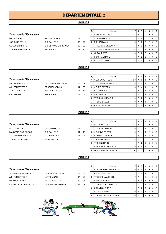# DEPARTEMENTALE 2

# POULE 1

# 7ème journée (2ème phase)

- 
- US CHAMBRAY 2 ATT AZAY/CHER 1 09 05 4S TOURS T.T. 11 - R.C. BALLAN 3 07 07 ES OESIENNE TT 2 - U.S. VERNOU S/BRENNE 1 09 05 TT PARCAY-MESLAY 4 - STE MAURE TT 2 04 10

| Rg | Equipe                         | PT |   |                | N | n              | Р        | F        |
|----|--------------------------------|----|---|----------------|---|----------------|----------|----------|
| 1  | ES OESIENNE TT 2               | 21 | 7 | 7              | O | O              | n        | 0        |
| 2  | <b>ISTE MAURE TT 2</b>         | 17 | 7 | 5              | 0 | 2              | $\Omega$ | O        |
| 3  | R.C. BALLAN 3                  | 15 | 7 | 3              | 2 | $\mathfrak{p}$ | $\Omega$ | O        |
| 4  | TT PARCAY-MESLAY 4             | 14 | 7 | 3              |   | 3              | O        | 0        |
| 5  | <b>IU.S. VERNOU S/BRENNE 1</b> | 14 | 7 | 3              |   | 3              | O        | $\Omega$ |
| 6  | <b>I4S TOURS T.T. 11</b>       | 13 | 7 | $\overline{2}$ | 2 | 3              | O        | O        |
| 7  | <b>US CHAMBRAY 2</b>           | 11 | 7 | 2              | 0 | 5              | O        | $\Omega$ |
| 8  | <b>ATT AZAY/CHER 1</b>         | 6  |   | n              | n | 6              | ŋ        |          |

# POULE 2

## 7ème journée (2ème phase)

- 
- A.P. ST SENOCH 1 TT CORMERY-TRUYES 4 05 09 A.S. FONDETTES 6 - TT BOUCHARDAIS 1 14 00 TT BLERE V.C. 2 - A.S.T.T. ESVRES 1 01 13 C.P. VEIGNE 2 - STE MAURE TT 3 05 09

| Rg             | Equipe                      | PT | J | ν              | N              | D | P        | F        |
|----------------|-----------------------------|----|---|----------------|----------------|---|----------|----------|
|                | <b>A.S. FONDETTES 6</b>     | 20 | 7 | 6              |                | 0 | 0        | 0        |
| $\overline{2}$ | <b>ITT CORMERY-TRUYES 4</b> | 18 | 7 | 5              |                |   | 0        | 0        |
| 3              | <b>A.S.T.T. ESVRES 1</b>    | 16 | 7 | 4              |                | 2 | 0        | $\Omega$ |
| 4              | <b>I</b> STE MAURE TT 3     | 14 | 7 | 3              |                | 3 | $\Omega$ | $\Omega$ |
| 5              | C.P. VEIGNE 2               | 13 | 7 | $\overline{2}$ | $\overline{2}$ | 3 | $\Omega$ | $\Omega$ |
| 6              | TT BOUCHARDAIS 1            | 13 | 7 | $\overline{2}$ | 2              | 3 | $\Omega$ | $\Omega$ |
| 7              | TT BLERE V.C. 2             | 10 | 7 |                |                | 5 | $\Omega$ | $\Omega$ |
| 8              | A.P. ST SENOCH 1            | 8  | 7 | 0              |                | 6 | 0        | $\Omega$ |

POULE 3

| 7ème journée (2ème phase) |  |  |  |  |
|---------------------------|--|--|--|--|
|---------------------------|--|--|--|--|

- A.S. LUYNES T.T 2 TT CHINONAIS 2 09 05 LANGEAIS-CINQ MARS 2 - R.C. BALLAN 2 04 10 AS SAVONNIERES TT 1 - T.T. BENAISIEN 1 06 08 TT CASTELVALERIE 1 - ES RIDELLOIS TT 1 08 06
- 
- 

|                                  |                     |    |    | Rg | Equipe                      | PT I            | J | v              | N            | D              | PF             |
|----------------------------------|---------------------|----|----|----|-----------------------------|-----------------|---|----------------|--------------|----------------|----------------|
| <u>7ème journée (2ème phase)</u> |                     |    |    |    | R.C. BALLAN 2               | 21              |   |                | $\Omega$     |                | $0$   $0$      |
| A.S. LUYNES T.T 2                | - TT CHINONAIS 2    | 09 | 05 |    | 2 ITT CASTELVALERIE 1       | 18 I            |   | 5              |              |                | 0 <sub>0</sub> |
| LANGEAIS-CINQ MARS 2             | - R.C. BALLAN 2     | 04 | 10 |    | 3 A.S. LUYNES T.T 2         | 16 <sup>1</sup> |   | $\overline{4}$ |              |                | $01$ 0         |
| AS SAVONNIERES TT 1              | - T.T. BENAISIEN 1  | 06 | 08 |    | 4 <b>ES RIDELLOIS TT 1</b>  | 14              |   | 3              |              | 3              | $0$   $0$      |
| TT CASTELVALERIE 1               | - ES RIDELLOIS TT 1 | 08 | 06 | 5  | <b>IT.T. BENAISIEN 1</b>    | 13 <sup>1</sup> |   | 3              | $^{\circ}$ 0 | $\overline{4}$ | $01$ 0         |
|                                  |                     |    |    | 6  | <b>ITT CHINONAIS 2</b>      | 11              |   | $\frac{1}{2}$  | $\Omega$     | 5              | $0$   $0$      |
|                                  |                     |    |    |    | <b>IAS SAVONNIERES TT 1</b> | 10 $\vert$      |   |                |              | 5              | $01$ 0         |
|                                  |                     |    |    | 8  | LANGEAIS-CINQ MARS 2        | 9               |   |                | $\Omega$     | 6              | $0$   0        |

# POULE 4

- ST AVERTIN SPORTS TT 5 TT BLERE VAL CHER 1 06 08 A.S. FONDETTES 7 - ASTT DU NAIS 1 07 07
- P.L. PAUL BERT 1 US LA RICHE TT 2 10 04 ES VILLE AUX DAMES TT 4 - TT MONTS ARTANNES 3 12 02

| - TT BLERE VAL CHE |
|--------------------|
| - ASTT DU NAIS 1   |

- -

|                                  |                       |                 |    | Rg | Equipe                          | PT I       | J | V              | N        | D I |                | PF             |
|----------------------------------|-----------------------|-----------------|----|----|---------------------------------|------------|---|----------------|----------|-----|----------------|----------------|
| 7ème journée <i>(2ème phase)</i> |                       |                 |    |    | <b>IES VILLE AUX DAMES TT 4</b> | 20         |   | -6             |          |     |                | $0$   $0$      |
| ST AVERTIN SPORTS TT 5           | - TT BLERE VAL CHER 1 | 06              | 08 |    | 2 A.S. FONDETTES 7              | 17         |   | 4              |          |     |                | 0 <sub>0</sub> |
| A.S. FONDETTES 7                 | - ASTT DU NAIS 1      | 07              | 07 |    | 3 ITT BLERE VAL CHER 1          | 17         |   |                | 2        |     |                | $0$   $0$      |
| P.L. PAUL BERT 1                 | - US LA RICHE TT 2    | 10 <sup>1</sup> | 04 |    | 4 ASTT DU NAIS 1                | 16 I       |   | $\overline{4}$ |          |     |                | $0$   $0$      |
| ES VILLE AUX DAMES TT 4          | - TT MONTS ARTANNES 3 | 12              | 02 |    | 5 ITT MONTS ARTANNES 3          |            |   |                |          | 4   | $01$ 0         |                |
|                                  |                       |                 |    |    | 6 US LA RICHE TT 2              |            |   | $\overline{2}$ | $\Omega$ | 5   | 0 <sub>0</sub> |                |
|                                  |                       |                 |    |    | <b>IP.L. PAUL BERT 1</b>        | 10 $\vert$ |   |                |          | 5   |                | $0$   $0$      |
|                                  |                       |                 |    |    | 8 IST AVERTIN SPORTS TT 5       | 10 $\vert$ |   |                |          | 5   |                | $0$   $0$      |

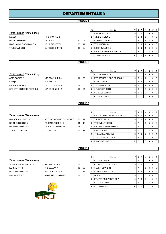# DEPARTEMENTALE 3

# POULE<sub>1</sub>

# 7ème journée (2ème phase)

| Exempt                   | - TT CHINONAIS 3    |    |
|--------------------------|---------------------|----|
| RS ST CYR/LOIRE 4        | - ST MICHEL T.T. 1  | 10 |
| U.S.E. AVOINE-BEAUMONT 4 | - US LA RICHE TT 3  | 03 |
| T.T. BENAISIEN 2         | - ES RIDELLOIS TT 2 | 08 |
|                          |                     |    |

|                                  |                     |    |    | Rg | Equipe                      | PT I            | JJ     | V              | N        | D        | PIF            |                |
|----------------------------------|---------------------|----|----|----|-----------------------------|-----------------|--------|----------------|----------|----------|----------------|----------------|
| <u>7ème journée</u> (2ème phase) |                     |    |    |    | <b>IUS LA RICHE TT 3</b>    |                 | 1866   |                | $\Omega$ | $\Omega$ |                | $0$   $0$      |
| Exempt                           | - TT CHINONAIS 3    |    |    |    | IT.T. BENAISIEN 2           |                 | 16 6 1 | -5             | $\Omega$ |          |                | 0 <sub>0</sub> |
| RS ST CYR/LOIRE 4                | - ST MICHEL T.T. 1  | 10 | 04 |    | 3 <b>IES RIDELLOIS TT 2</b> | 11              | 6      | $^{\prime}$ 2  |          | 3        | $0$   0        |                |
| U.S.E. AVOINE-BEAUMONT 4         | - US LA RICHE TT 3  | 03 | 11 |    | 4 ITT CHINONAIS 3           | 11              | 16 I   | $^{\circ}$ 2   |          | 3        | 0 <sub>0</sub> |                |
| T.T. BENAISIEN 2                 | - ES RIDELLOIS TT 2 | 08 | 06 |    | 5 IRS ST CYR/LOIRE 4        | 11 <sup>1</sup> | 6      | $\overline{2}$ |          | 3        | $0$   0        |                |
|                                  |                     |    |    |    | 6 U.S.E. AVOINE-BEAUMONT 4  | 9               | 6      | $^{\circ}$ 2   | ∣ O      | 3        | 0 <sup>1</sup> | $\overline{1}$ |
|                                  |                     |    |    |    | <b>IST MICHEL T.T. 1</b>    |                 | 6 I    | - 0            |          | 5        |                | $0$   $0$      |
|                                  |                     |    |    |    |                             |                 |        |                |          |          |                |                |

# POULE<sub>2</sub>

| 7ème journée (2ème phase)   |                    |   |
|-----------------------------|--------------------|---|
| <b>ASTT SORIGNY 1</b>       | - ATT AZAY/CHER 3  |   |
| Exempt                      | - PPC MARTINOIS 1  |   |
| P.L. PAUL BERT 2            | - TTC du LOCHOIS 2 | U |
| STE CATHERINE DE FIERBOIS 1 | - A.P. ST SENOCH 2 |   |

|                                  |                    |                 |    | Rg | Equipe                         | PT I           |     |    | N            | D              |         | PIF            |
|----------------------------------|--------------------|-----------------|----|----|--------------------------------|----------------|-----|----|--------------|----------------|---------|----------------|
| 7ème journée <i>(2ème phase)</i> |                    |                 |    |    | <b>IPPC MARTINOIS 1</b>        | 17             | 16' | -5 |              |                |         | $0$   $0$      |
| ASTT SORIGNY 1                   | - ATT AZAY/CHER 3  | 11              | 03 |    | 2 ISTE CATHERINE DE FIERBOIS 1 | 15   6         |     |    |              |                |         | $0$   $0$      |
| Exempt                           | - PPC MARTINOIS 1  |                 |    |    | 3 ASTT SORIGNY 1               | 14             | 6   |    | $\Omega$     |                |         | 0 <sub>0</sub> |
| P.L. PAUL BERT 2                 | - TTC du LOCHOIS 2 | 09              | 05 |    | 4 ITTC du LOCHOIS 2            | 10 I           | l 6 |    |              |                |         | $\overline{0}$ |
| STE CATHERINE DE FIERBOIS 1      | - A.P. ST SENOCH 2 | 10 <sup>1</sup> | 04 |    | 5 A.P. ST SENOCH 2             | 10   6         |     |    | 2            | 3              |         | $0$   $0$      |
|                                  |                    |                 |    |    | 6 P.L. PAUL BERT 2             | $10$ $16$ $12$ |     |    | $^{\circ}$ 0 | $\overline{4}$ |         | $0$   $0$      |
|                                  |                    |                 |    |    | <b>JATT AZAY/CHER 3</b>        | 8              | 6   |    | $\mathbf 0$  | 5              | $0$   0 |                |

# 7ème journée (2ème phase)

| U.S. VERNOU /BRENNE |
|---------------------|
| RS ST CYR/LOIRE 5   |
| US RENAUDINE TT 5   |
| TT CASTELVALERIE 2  |

2 - A.T.T. ST ANTOINE DU ROCHER - TT SEMBLANCEEN 1 04 10 - TT PARCAY MESLAY 6 05 09

| Rg | Equipe                        | PT | J | ٧ | N        | D | P | F        |
|----|-------------------------------|----|---|---|----------|---|---|----------|
|    | A.T.T. ST ANTOINE DU ROCHER 1 | 20 | 7 | 6 | 1        | 0 | 0 | 0        |
| 2  | IT.T. METTRAY 1               | 20 | 7 | 6 | 1        | 0 | O | 0        |
| 3  | TT SEMBLANCEEN 1              | 15 | 7 | 4 | 0        | 3 | 0 | $\Omega$ |
| 4  | <b>IU.S. VERNOU /BRENNE 2</b> | 13 | 7 | 3 | 0        | 4 | 0 | $\Omega$ |
| 5  | <b>US RENAUDINE TT 5</b>      | 13 | 7 | 3 | 0        | 4 | 0 | $\Omega$ |
| 6  | TT CASTELVALERIE 2            | 12 | 7 | 3 | 0        | 3 | 0 |          |
| 7  | TT PARCAY MESLAY 6            | 9  |   |   | 0        | 6 | 0 | 0        |
| 8  | <b>RS ST CYR/LOIRE 5</b>      | 9  | 7 | 1 | $\Omega$ | 6 | O | O        |

# POULE<sub>4</sub>

# 7ème journée (2ème phase)

| ST AVERTIN SPORTS TT |
|----------------------|
| LARCAY T.T. 2        |
| US RENAUDINE TT 6    |
| A.C. AMBOISE 3       |

| - ATT AZAY/CHER 2       |
|-------------------------|
| - R.C. BALLAN 4         |
| - A S T T FSVRFS 2      |
| - A.S MONTLOUIS/LOIRE 2 |

|                                  |                         |                   |    | Rg | Equipe                    | PT I            | J | v              | N                       | D I |          | PF             |
|----------------------------------|-------------------------|-------------------|----|----|---------------------------|-----------------|---|----------------|-------------------------|-----|----------|----------------|
| 7ème journée <i>(2ème phase)</i> |                         |                   |    |    | A.C. AMBOISE 3            | 21              |   |                | $^{\circ}$ 0 $^{\circ}$ |     |          | $0$   $0$      |
| ST AVERTIN SPORTS TT 7           | - ATT AZAY/CHER 2       | 08                | 06 |    | 2 A.S MONTLOUIS/LOIRE 2   | $19$   $7$      |   | - 6            | $\Omega$                |     |          | $0$   $0$      |
| LARCAY T.T. 2                    | - R.C. BALLAN 4         | $12 \overline{ }$ | 02 |    | 3 A.S.T.T. ESVRES 2       | 15 <sub>1</sub> |   | $\overline{4}$ | $\Omega$                | 3   |          | $0$   $0$      |
| US RENAUDINE TT 6                | - A.S.T.T. ESVRES 2     |                   | 14 |    | 4 US RENAUDINE TT 6       | 14 <sup>1</sup> |   | $\overline{4}$ | $\Omega$                | 2   | $\Omega$ | $\overline{1}$ |
| A.C. AMBOISE 3                   | - A.S MONTLOUIS/LOIRE 2 | 09                | 05 |    | 5 LARCAY T.T. 2           | 13 <sup>1</sup> |   | -3             | $\Omega$                | 4   |          | 0 <sub>0</sub> |
|                                  |                         |                   |    |    | 6 IST AVERTIN SPORTS TT 7 | 13 <sub>1</sub> |   | 3              | $\Omega$                | 4   |          | 0 <sub>0</sub> |
|                                  |                         |                   |    |    | <b>ATT AZAY/CHER 2</b>    | 9               |   |                | $\Omega$                | 6   |          | $0$   $0$      |
|                                  | $\bullet$               |                   |    |    | 8 R.C. BALLAN 4           |                 |   |                | $\Omega$                |     |          | $0$   $0$      |



- T.T. METTRAY 1 03 11

|        | Rg             |    |    |   |
|--------|----------------|----|----|---|
| A.T.T. |                |    |    |   |
| T.T.M  | $\overline{2}$ | 11 | 03 | 1 |
| ᅂ      |                | 10 | ω  |   |

|        | POULE 3 |    |                          |
|--------|---------|----|--------------------------|
|        |         |    |                          |
|        |         | Rg | Equipe                   |
|        |         |    | A.T.T. ST ANTOINE DU ROC |
| २ 1 03 | 11      |    | <b>T.T. METTRAY 1</b>    |
|        |         |    |                          |

# POULE 3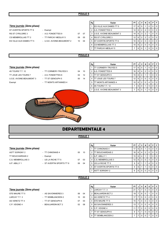# POULE 5

|                           |                            |    |                    | Rg | Equipe                          | PT.             | JI       | V              | $\mathsf{N}$   | D        |                | P F      |
|---------------------------|----------------------------|----|--------------------|----|---------------------------------|-----------------|----------|----------------|----------------|----------|----------------|----------|
| 7ème journée (2ème phase) |                            |    |                    |    | <b>IES VILLE AUX DAMES TT 5</b> | 17              | 6 I      | 5 <sup>5</sup> | $\mathbf 1$    | 0        | $\Omega$       | $\Omega$ |
| ST AVERTIN SPORTS TT 6    | - Exempt                   |    |                    |    | <b>JA.S. FONDETTES 9</b>        | 14              | 6 I      | 2              | 4              | $\Omega$ | $\Omega$       | $\Omega$ |
| RS ST CYR/LOIRE 3         | - A.S. FONDETTES 9         | 07 | 07                 | 3  | <b>U.S.E. AVOINE-BEAUMONT 2</b> | 14              | 6 I      | $\mathbf{3}$   | $\overline{2}$ |          | 0 <sup>1</sup> | $\Omega$ |
| CS MEMBROLLAIS TT 2       | - TT PARCAY-MESLAY 5       | 09 | 05                 | 4  | <b>IRS ST CYR/LOIRE 3</b>       | 12 <sup>2</sup> | 6 I      | 2              | $\overline{2}$ | 2        | 0 <sup>1</sup> | $\Omega$ |
| ES VILLE AUX DAMES TT 5   | - U.S.E. AVOINE-BEAUMONT 2 | 10 | 04                 | 5  | <b>IST AVERTIN SPORTS TT 6</b>  | 10 <sup>1</sup> | 6 I      | 12.            | $\Omega$       | 4        | 0 <sup>1</sup> | $\Omega$ |
|                           |                            |    |                    |    | <b>ICS MEMBROLLAIS TT 2</b>     | 10 <sup>1</sup> |          | 6 2            | $\Omega$       | 4        | 0 <sup>1</sup> | $\Omega$ |
|                           |                            |    |                    |    | <b>ITT PARCAY-MESLAY 5</b>      | 7               | $6 \mid$ | $\Omega$       | $\overline{1}$ | 5        | $0$   0        |          |
|                           |                            |    |                    |    |                                 |                 |          |                |                |          |                |          |
|                           |                            |    | POULE <sub>6</sub> |    |                                 |                 |          |                |                |          |                |          |

## 7ème journée (2ème phase)

4S TOURS T.T. 12 - TT CORMERY-TRUYES 5 04 10 Exempt **Exempt** - TT MONTS ARTANNES 4

TT JOUE LES TOURS 7 - A.S. FONDETTES 8 02 12 U.S.E. AVOINE-BEAUMONT 3 - TT ST GENOUPH 5 00 14

| Rg             | Equipe                     | ΡT |   | ν | N | D | Р | F |
|----------------|----------------------------|----|---|---|---|---|---|---|
|                | TT CORMERY-TRUYES 5        | 17 | 6 | 5 |   | 0 | 0 | O |
| $\overline{2}$ | A.S. FONDETTES 8           | 16 | 6 | 4 | 2 | 0 | 0 | 0 |
| 3              | TT ST GENOUPH 5            | 15 | 6 | 4 |   |   | 0 | 0 |
| $\overline{4}$ | TT JOUE LES TOURS 7        | 12 | 6 | 3 | 0 | 3 | 0 | O |
| 5              | <b>TT MONTS ARTANNES 4</b> | 10 | 6 | 2 | O | 4 | 0 | O |
| 6              | 4S TOURS T.T. 12           |    | 6 | 0 |   | 5 | 0 | O |
|                | U.S.E. AVOINE-BEAUMONT 3   |    | 6 | 0 |   | 5 | 0 | O |



# DEPARTEMENTALE 4

# POULE<sub>1</sub>

# 7ème journée (2ème phase)

ASTT SORIGNY 2 - TT CHINONAIS 4 00 10 TT BOUCHARDAIS 2 - Exempt C.S. MEMBROLLAIS 3 - US LA RICHE TT 5 07 03 A.P. ABILLY 1 - ST AVERTIN SPORTS TT 8 06 04

| Rg | Equipe                   | PT |   |   | N              | D | Р |   |
|----|--------------------------|----|---|---|----------------|---|---|---|
|    | <b>ITT CHINONAIS 4</b>   | 17 | 6 | 5 |                | 0 | 0 | O |
| 2  | <b>ITT BOUCHARDAIS 2</b> | 16 | 6 | 4 | $\overline{2}$ | 0 | 0 | O |
| 3  | A.P. ABILLY 1            | 15 | 6 | 4 |                |   |   | O |
|    | IC.S. MEMBROLLAIS 3      | 12 | 6 | 3 | 0              | 3 | O | O |
| 5  | <b>US LA RICHE TT 5</b>  | 9  | 6 |   |                | 4 | 0 | O |
| 6  | IST AVERTIN SPORTS TT 8  | 9  | 6 |   |                | 4 | O | O |
|    | ASTT SORIGNY 2           | 6  | 6 |   | O              | 6 | O |   |

# POULE 2

## 7ème journée (2ème phase)

| - AS SAVUNI     |
|-----------------|
| - TT SEMBLA     |
| - TT ST GEN     |
| <b>BEAUJARD</b> |

|                                  |                    |                 |    | Rg | Equipe                   | PT I            | J | v            | N        | D |         | PF             |
|----------------------------------|--------------------|-----------------|----|----|--------------------------|-----------------|---|--------------|----------|---|---------|----------------|
| <u>7ème journée (2ème phase)</u> |                    |                 |    |    | LARCAY T.T. 3            | 21              |   |              | $\Omega$ |   |         | $0$   $0$      |
| STE MAURE TT 5                   | - AS SAVONNIERES 3 | 06              | 04 |    | 2 BEAUJARDIN BCT 2       | 19 I            |   | - 6          | $\Omega$ |   |         | 0 <sub>0</sub> |
| LARCAY T.T. 3                    | - TT SEMBLANCEEN 2 | 10              | 00 |    | 3 AS VERETZ TT 4         | 17              |   | 5            | $\Omega$ |   |         | $0$   $0$      |
| AS VERETZ TT 4                   | - TT ST GENOUPH 6  | 07              | 03 |    | 4 ISTE MAURE TT 5        | 15 <sub>1</sub> |   | 4            | $\Omega$ | 3 |         | $0$   $0$      |
| C.P. VEIGNE 4                    | - BEAUJARDIN BCT 2 | 02 <sup>°</sup> | 08 |    | 5 AS SAVONNIERES 3       | 13 I            |   | -3           | $\Omega$ | 4 |         | $0$   $0$      |
|                                  |                    |                 |    |    | 6 C.P. VEIGNE 4          | 11              |   | $^{\circ}$ 2 | $\Omega$ | 5 | $0$   0 |                |
|                                  |                    |                 |    |    | <b>ITT ST GENOUPH 6</b>  | 9               |   |              | $\Omega$ | 6 |         | $0$   0        |
|                                  |                    |                 |    | 8  | <b>ITT SEMBLANCEEN 2</b> |                 |   | $\Omega$     | $\Omega$ |   |         | $0$   $0$      |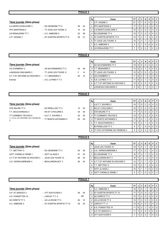|                                                            |                          |    |                    | Rg             | Equipe                                                   | PT             | J                                | v               | N                 | D                                         | P                          | F                        |
|------------------------------------------------------------|--------------------------|----|--------------------|----------------|----------------------------------------------------------|----------------|----------------------------------|-----------------|-------------------|-------------------------------------------|----------------------------|--------------------------|
| 7ème journée (2ème phase)                                  |                          |    |                    | $\mathbf{1}$   | C.P. VEIGNE 3                                            | 21             | $\overline{7}$                   | $\overline{7}$  | $\mathbf 0$       | $\mathbf 0$                               | $\mathbf 0$                | $\mathbf 0$              |
| A.S MONTLOUIS/LOIRE 3                                      | - ES OESIENNE TT 4       | 06 | 04                 | $\overline{2}$ | <b>IPPC MARTINOIS 2</b>                                  | 17             | $\overline{7}$                   | 5               | $\mathbf 0$       | $\sqrt{2}$                                | $\mathbf 0$                | $\mathbf 0$              |
| <b>PPC MARTINOIS 2</b>                                     | - TT JOUE LES TOURS 8    | 10 | 00                 | 3              | A.S MONTLOUIS/LOIRE 3                                    | 15             | $\overline{7}$                   | 4               | $\mathbf 0$       | 3                                         | $\mathbf 0$                | $\mathbf 0$              |
| US RENAUDINE TT 7                                          | - A.C. AMBOISE 5         | 02 | 08                 | 4              | <b>ES OESIENNE TT 4</b>                                  | 15             | $\overline{7}$                   | 3               | $\overline{2}$    | $\sqrt{2}$                                | 0                          | $\mathbf 0$              |
| C.P. VEIGNE 3                                              | - ST AVERTIN SPORTS TT 9 | 09 | 01                 |                | 5 ST AVERTIN SPORTS TT 9                                 | 14             | 7 <sup>1</sup>                   | 3               | 1                 | $\mathbf{3}$                              | $\pmb{0}$                  | $\mathbf 0$              |
|                                                            |                          |    |                    | 6              | <b>ITT JOUE LES TOURS 8</b>                              | 14             | $\overline{7}$                   | 3               | 1                 | 3                                         | $\mathbf 0$                | $\mathbf 0$              |
|                                                            |                          |    |                    | $\overline{7}$ | A.C. AMBOISE 5                                           | 9              | $\overline{7}$                   | $\mathbf{1}$    | 0                 | 6                                         | $\mathbf 0$                | $\mathbf 0$              |
|                                                            |                          |    |                    | 8              | <b>JUS RENAUDINE TT 7</b>                                | $\overline{7}$ | 7                                | $\mathbf 0$     | $\mathbf 0$       | $\overline{7}$                            | $\mathbf 0$                | $\mathbf 0$              |
|                                                            |                          |    |                    |                |                                                          |                |                                  |                 |                   |                                           |                            |                          |
|                                                            |                          |    | <b>POULE 4</b>     |                |                                                          |                |                                  |                 |                   |                                           |                            |                          |
|                                                            |                          |    |                    | Rg             | Equipe                                                   | PT             | J                                | V               | N                 | D                                         | P                          | F                        |
| 7ème journée (2ème phase)                                  |                          |    |                    | $\mathbf{1}$   | AS SAVONNIERES TT 2                                      | 18             | 6                                | $6\phantom{1}6$ | $\mathbf 0$       | $\pmb{0}$                                 | $\mathbf 0$                | $\pmb{0}$                |
| <b>US CHAMBRAY 3</b>                                       | - AS SAVONNIERES TT 2    | 04 | 06                 |                | 2 T.T. BENAISIEN 3                                       | 13             | 6                                | 3               | 1                 | $\sqrt{2}$                                | $\pmb{0}$                  | $\mathbf 0$              |
| LANGEAIS-CINQ MARS 3                                       | - TT JOUE LES TOURS 9    | F  | 10                 |                | 3 TT JOUE LES TOURS 9                                    | 12             | 6                                | 3               | $\mathbf{0}$      | 3                                         | $\mathbf 0$                | $\mathbf 0$              |
| A.T.T.ST ANTOINE DU ROCHER 2 - T.T. BENAISIEN 3            |                          | 00 | 10                 | 4              | <b>US CHAMBRAY 3</b>                                     | 11             | 6                                | $\overline{2}$  | 1                 | 3                                         | $\mathbf 0$                | $\mathbf 0$              |
| Exempt                                                     | - A.S. LUYNES T.T 3      |    |                    | 5              | <b>A.S. LUYNES T.T 3</b>                                 | 11             | 6                                | $\overline{2}$  | 1                 | 3                                         | $\mathbf 0$                | $\mathbf 0$              |
|                                                            |                          |    |                    | 6              | A.T.T.ST ANTOINE DU ROCHER 2                             | 10             | 6                                | $\overline{c}$  | 0                 | 4                                         | $\mathbf 0$                | $\mathbf 0$              |
|                                                            |                          |    |                    | 7              | LANGEAIS-CINQ MARS 3                                     | 8              | 6                                | $\mathbf{1}$    | 1                 | 3                                         | $\mathbf 0$                | $\mathbf{1}$             |
|                                                            |                          |    |                    |                |                                                          |                |                                  |                 |                   |                                           |                            |                          |
|                                                            |                          |    | POULE <sub>5</sub> |                |                                                          |                |                                  |                 |                   |                                           |                            |                          |
|                                                            |                          |    |                    |                |                                                          |                |                                  |                 |                   |                                           |                            |                          |
|                                                            |                          |    |                    | Rg             | Equipe                                                   | PT             | J                                | V               | N                 | D                                         | P                          | F                        |
| 7ème journée (2ème phase)                                  |                          |    |                    | $\mathbf{1}$   | <b>A.S.T.T. ESVRES 3</b>                                 | 19             | $\overline{7}$                   | 5               | $\overline{2}$    | $\mathbf 0$                               | $\mathbf 0$                | $\mathbf 0$              |
| STE MAURE TT 4                                             | - ES RIDELLOIS TT 3      | 10 | 00                 | $\overline{2}$ | <b>RS ST CYR/LOIRE 6</b>                                 | 19             | $\overline{7}$                   | 5               | $\overline{2}$    | $\mathbf 0$                               | $\mathbf 0$                | $\mathbf 0$              |
| T.T. BOUCHARDAIS 3                                         | - RS ST CYR/LOIRE 6      | 04 | 06                 | 3              | <b>STE MAURE TT 4</b>                                    | 17             | $\overline{7}$                   | 5               | $\mathbf 0$       | $\overline{2}$                            | $\mathbf 0$                | $\mathbf 0$              |
| TT CORMERY-TRUYES 6<br><b>IT STE CATHERINE DE FIERBOIS</b> | - A.S.T.T. ESVRES 3      | 05 | 05<br>05           | 4              | <b>ITT CORMERY-TRUYES 6</b>                              | 15<br>12       | $\overline{7}$<br>$\overline{7}$ | 3<br>$\sqrt{2}$ | $\overline{2}$    | $\overline{2}$                            | $\pmb{0}$                  | $\mathbf 0$<br>$\pmb{0}$ |
| $\mathfrak{D}$                                             | - TT MONTS ARTANNES 5    | 05 |                    | 5<br>6         | <b>ITT MONTS ARTANNES 5</b><br><b>T.T. BOUCHARDAIS 3</b> | 12             | $\overline{7}$                   | $\overline{2}$  | $\mathbf{1}$<br>1 | $\overline{\mathbf{4}}$<br>$\overline{4}$ | $\mathbf 0$<br>$\mathbf 0$ | $\mathbf 0$              |
|                                                            |                          |    |                    | 7              | <b>ES RIDELLOIS TT 3</b>                                 | 9              | 7                                | $\mathbf{1}$    | $\mathbf 0$       | 6                                         | $\mathbf 0$                | 0                        |
|                                                            |                          |    |                    | 8              | <b>TT STE CATHERINE DE FIERBOIS 2</b>                    | 9              | $\overline{7}$                   | $\mathbf 0$     | $\overline{2}$    | 5                                         | $\mathbf 0$                | $\mathbf 0$              |
|                                                            |                          |    |                    |                |                                                          |                |                                  |                 |                   |                                           |                            |                          |
|                                                            |                          |    | <b>POULE 6</b>     |                |                                                          |                |                                  |                 |                   |                                           |                            |                          |
|                                                            |                          |    |                    | Rg             | Equipe                                                   | PT             | J                                | $\mathsf{v}$    | N                 | D                                         | P                          | F                        |
| 7ème journée (2ème phase)                                  |                          |    |                    | 1              | JOUE LES TOURS 10                                        | 18             | $\overline{7}$                   | 5               | $\mathbf{1}$      | $\overline{1}$                            | $\mathbf 0$                | $\mathbf 0$              |
| T.T. METTRAY 2                                             | - ES OESIENNE TT 3       | 04 | 06                 |                | 2 JU.S. VERNOU/BRENNE 4                                  | 17             | 7 <sup>1</sup>                   | $\overline{4}$  | $\overline{2}$    | $\mathbf{1}$                              | $\mathbf 0$                | $\mathbf 0$              |
| <b>ASTT CHEMILLE /DEME 1</b>                               | - ASTT du NAIS 2         | 07 | 03                 |                | 3 <b>ES OESIENNE TT 3</b>                                | 16             | $\overline{7}$                   | 4               | $\mathbf{1}$      | $\sqrt{2}$                                | $\mathbf 0$                | 0                        |
| A.T.T.ST ANTOINE DU ROCHER 3 - JOUE LES TOURS 10           |                          | 06 | 04                 |                | 4 BEAUJARDIN BCT 3                                       | 16             | $\overline{7}$                   | 4               | 1                 | $\overline{2}$                            | $\mathbf 0$                | 0                        |
| U.S. VERNOU/BRENNE 4                                       | - BEAUJARDIN BCT 3       | 06 | 04                 |                | 5 A.T.T.ST ANTOINE DU ROCHER 3                           | 14             | $\overline{7}$                   | 3               | $\mathbf{1}$      | 3                                         | 0                          | 0                        |
|                                                            |                          |    |                    |                | 6 T.T. METTRAY 2                                         | 12             | 7 <sup>1</sup>                   | $\overline{2}$  | $\mathbf{1}$      | $\overline{4}$                            | $\mathbf 0$                | 0                        |
|                                                            |                          |    |                    |                | 7 ASTT du NAIS 2                                         | 10             | 7 <sup>1</sup>                   | $\overline{1}$  | $\mathbf{1}$      | 5                                         | 0                          | 0                        |
|                                                            |                          |    |                    | 8              | <b>ASTT CHEMILLE /DEME 1</b>                             | 8              | $\overline{7}$                   | 1               | 0                 | 5                                         | $\mathbf 0$                | 1                        |
|                                                            |                          |    |                    |                |                                                          |                |                                  |                 |                   |                                           |                            |                          |
|                                                            |                          |    | POULE <sub>7</sub> |                |                                                          |                |                                  |                 |                   |                                           |                            |                          |
|                                                            |                          |    |                    |                |                                                          |                |                                  |                 |                   |                                           |                            |                          |

| 7ème journée (2ème phase) |  |
|---------------------------|--|
| A D CT CENOCH O           |  |

- 
- 
- 

|                                  |                           |    |           | Rg | Equipe                     | PT I              | J              | $\mathsf{v}$   | N        | D | PF        |  |
|----------------------------------|---------------------------|----|-----------|----|----------------------------|-------------------|----------------|----------------|----------|---|-----------|--|
| 7ème journée <i>(2ème phase)</i> |                           |    |           |    | A.C. AMBOISE 4             | 18 I              |                | 5              |          |   | $0$   $0$ |  |
| A.P. ST SENOCH 3                 | - ATT AZAY/CHER 4         | 06 | 04        |    | 2 IST AVERTIN SPORTS TT 10 | 17                |                | 5              | $\Omega$ |   | $01$ 0    |  |
| A.S. FONDETTES 10                | - LARCAY T.T. 4           |    | <b>NP</b> |    | 3 AS VERETZ TT 3           | 15 I              |                | 4              | $\Omega$ | 3 | $0$   $0$ |  |
| AS VERETZ TT 3                   | - US LA RICHE TT 4        | 00 | 10        |    | 4 US LA RICHE TT 4         | 15 <sup>1</sup>   |                | 4              | $\Omega$ | 3 | $0$   $0$ |  |
| A.C. AMBOISE 4                   | - ST AVERTIN SPORTS TT 10 | 06 | 04        |    | 5 LARCAY T.T. 4            | 14 I              | 6 <sup>1</sup> | $\overline{4}$ | $\Omega$ | 2 | $01$ 0    |  |
|                                  |                           |    |           |    | 6 A.S. FONDETTES 10        | 11 <sup>1</sup>   | 6              | $\overline{2}$ |          | 3 | $0$   0   |  |
|                                  |                           |    |           |    | 7 A.P. ST SENOCH 3         | 11 $\blacksquare$ |                | $\overline{2}$ | $\Omega$ | 5 | $0$   $0$ |  |
|                                  |                           |    |           |    | 8 ATT AZAY/CHER 4          |                   |                | $\Omega$       | $\Omega$ |   | $0$   $0$ |  |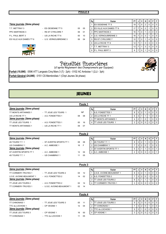# 7ème journée (2ème phase)

T.T. METTRAY 3 - ES OESIENNE TT 5 05 05 05 PPC MARTINOIS 3 - RS ST CYR/LOIRE 7 06 01 P.L. PAUL BERT 3 - US LA RICHE TT 6 00 10 ES VILLE AUX DAMES TT 6 - U.S. VERNOU/BRENNE 3 06 04



| Rg             | Equipe                          | PT | J | v              | N              | D              | P | F        |
|----------------|---------------------------------|----|---|----------------|----------------|----------------|---|----------|
| 1              | <b>ES OESIENNE TT 5</b>         | 19 | 7 | 5              | $\overline{2}$ | 0              | O | $\Omega$ |
| $\mathfrak{p}$ | <b>IES VILLE AUX DAMES TT 6</b> | 17 | 7 | 4              | $\overline{2}$ |                | 0 | $\Omega$ |
| 3              | <b>PPC MARTINOIS 3</b>          | 16 | 7 | 4              |                | $\overline{2}$ | 0 | $\Omega$ |
| 4              | U.S. VERNOU/BRENNE 3            | 16 | 7 | 3              | 3              |                | O | $\Omega$ |
| 5              | <b>RS ST CYR/LOIRE 7</b>        | 12 | 7 | $\overline{2}$ |                | 4              | U | $\Omega$ |
| 6              | US LA RICHE TT 6                | 12 | 7 |                | 3              | 3              | O | O        |
| 7              | T.T. METTRAY 3                  | 12 | 7 | 1              | 3              | 3              | 0 | $\Omega$ |
| 8              | P.L. PAUL BERT 3                | 8  | 7 | 0              |                | 6              | ი |          |

# Pénalités financières<br>(d'après Règlement des Championnats par Equipes)

Forfait (10,00€) : 0596 ATT Langeais Cinq Mars 3 (7j - 2ph) - 0102 AC Amboise 1 (2JJ - 3ph)

Forfait Général (24,00€) : 0151 CS Membrollais 1 (Chpt Jeunes 3è phase)



# JEUNES

|                           |                       |    | Poule 1   |    |                             |           |   |          |   |   |     |          |
|---------------------------|-----------------------|----|-----------|----|-----------------------------|-----------|---|----------|---|---|-----|----------|
| 2ème journée (3ème phase) |                       |    |           | Rg | Equipe                      | <b>PT</b> |   | v        | N | D | P   |          |
| TT MONTS ARTANNES 1       | - TT JOUE LES TOURS 1 |    | <b>NP</b> |    | <b>IA.S. FONDETTES 1</b>    | 8         | 3 |          |   | 0 | - 0 |          |
| US LA RICHE TT 1          | - A.S. FONDETTES 1    | 08 | 08        |    | <b>US LA RICHE TT 1</b>     | 6         | 3 |          |   |   |     | 0        |
| 3ème journée (3ème phase) |                       |    |           |    | <b>ITT MONTS ARTANNES 1</b> | 4         |   |          |   |   |     |          |
| TT JOUE LES TOURS 1       | - A.S. FONDETTES 1    | 00 | 16        |    | ITT JOUE LES TOURS 1        | 2         | 2 | $\Omega$ |   |   |     | $\Omega$ |
| TT MONTS ARTANNES 1       | - US LA RICHE TT 1    | 09 | 07        |    |                             |           |   |          |   |   |     |          |

|                           |                          |    | Poule 2 |    |                                |      |   |     |          |                |          |                |
|---------------------------|--------------------------|----|---------|----|--------------------------------|------|---|-----|----------|----------------|----------|----------------|
| 2ème journée (3ème phase) |                          |    |         | Rg | Equipe                         | PT I | J | V I |          | D I            |          | PF             |
| 4S TOURS T.T. 1           | - ST AVERTIN SPORTS TT 1 | 08 | 08      |    | <b>I4S TOURS T.T. 1</b>        | 8    | 3 |     |          |                |          | $01$ 0         |
| US CHAMBRAY 1             | - A.C. AMBOISE 1         | 16 | -F      |    | <b>IUS CHAMBRAY 1</b>          |      | 3 | -2  |          |                |          | $\overline{0}$ |
| 3ème journée (3ème phase) |                          |    |         |    | <b>IST AVERTIN SPORTS TT 1</b> | 5    | 3 |     |          | 0 <sup>1</sup> | $\Omega$ |                |
| ST AVERTIN SPORTS TT 1    | - A.C. AMBOISE 1         | 12 | 04      |    | 4 A.C. AMBOISE 1               |      | 3 |     | $\Omega$ | 2              | $\Omega$ |                |
| 4S TOURS T.T. 1           | - US CHAMBRAY 1          | 11 | 05      |    |                                |      |   |     |          |                |          |                |

|                            |                            |    | Poule 3 |    |                                  |      |   |    |          |          |          |          |
|----------------------------|----------------------------|----|---------|----|----------------------------------|------|---|----|----------|----------|----------|----------|
| 2ème journée (3ème phase)  |                            |    |         | Rg | Equipe                           | PT I | J | v  |          | D        | P        | F.       |
| <b>TT CORMERY-TRUYES 1</b> | - TT JOUE LES TOURS 2      | 04 | -12     |    | <b>IU.S.E. AVOINE-BEAUMONT 1</b> | 8    | 3 | -2 |          | $\Omega$ | $01$ 0   |          |
| U.S.E. AVOINE-BEAUMONT 1   | - A.S. FONDETTES 2         | 14 | 02      |    | A.S. FONDETTES 2                 |      | 3 |    | $\Omega$ |          |          | $01$ 0   |
| 3ème journée (3ème phase)  |                            |    |         |    | <b>ITT JOUE LES TOURS 2</b>      | 6    | 3 |    |          |          |          | $\Omega$ |
| TT JOUE LES TOURS 2        | - A.S. FONDETTES 2         | 02 | 14      | 4  | <b>ITT CORMERY-TRUYES 1</b>      |      | 3 |    |          | 3        | $\Omega$ | $\Omega$ |
| <b>TT CORMERY-TRUYES 1</b> | - U.S.E. AVOINE-BEAUMONT 1 | 02 | 14      |    |                                  |      |   |    |          |          |          |          |

| Poule 4                   |                       |    |     |    |                             |    |   |              |          |     |                |                |
|---------------------------|-----------------------|----|-----|----|-----------------------------|----|---|--------------|----------|-----|----------------|----------------|
| 2ème journée (3ème phase) |                       |    |     | Rg | Equipe                      | РT |   | v            |          | D I |                | PF             |
| <b>TT CHINONAIS 1</b>     | - TT JOUE LES TOURS 3 | 05 | -11 |    | <b>ITT JOUE LES TOURS 3</b> | 9  | 3 | -3           | $\Omega$ |     | 0 <sup>1</sup> | . 0            |
| TTC du LOCHOIS 1          | - CP VEIGNE 1         | 12 | 04  |    | <b>ITT CHINONAIS 1</b>      |    | 3 | $^{\circ}$ 2 | 0        |     |                | $\overline{0}$ |
| 3ème journée (3ème phase) |                       |    |     |    | <b>ITTC du LOCHOIS 1</b>    |    | 3 |              | 0        | 2   | $0$   0        |                |
| TT JOUE LES TOURS 3       | - CP VEIGNE 1         | 16 | -00 | 4  | <b>CP VEIGNE 1</b>          |    | 3 | - 0          | 0        | 3   |                | 0 <sup>1</sup> |
| <b>TT CHINONAIS 1</b>     | - TTC du LOCHOIS 1    |    | 05  |    |                             |    |   |              |          |     |                |                |